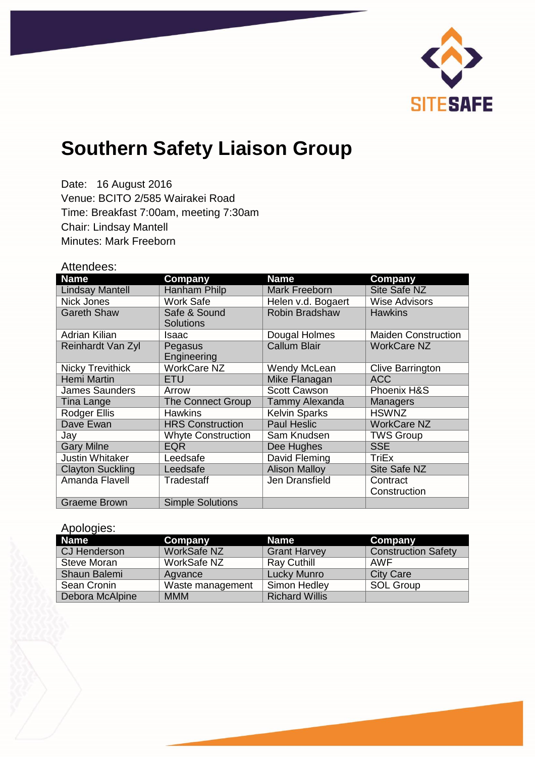

## **Southern Safety Liaison Group**

Date: 16 August 2016 Venue: BCITO 2/585 Wairakei Road Time: Breakfast 7:00am, meeting 7:30am Chair: Lindsay Mantell Minutes: Mark Freeborn

## Attendees:

| <b>Name</b>             | Company                          | <b>Name</b>           | Company                    |
|-------------------------|----------------------------------|-----------------------|----------------------------|
| <b>Lindsay Mantell</b>  | Hanham Philp                     | <b>Mark Freeborn</b>  | Site Safe NZ               |
| Nick Jones              | <b>Work Safe</b>                 | Helen v.d. Bogaert    | <b>Wise Advisors</b>       |
| <b>Gareth Shaw</b>      | Safe & Sound<br><b>Solutions</b> | <b>Robin Bradshaw</b> | <b>Hawkins</b>             |
| Adrian Kilian           | Isaac                            | Dougal Holmes         | <b>Maiden Construction</b> |
| Reinhardt Van Zyl       | Pegasus<br>Engineering           | <b>Callum Blair</b>   | <b>WorkCare NZ</b>         |
| <b>Nicky Trevithick</b> | <b>WorkCare NZ</b>               | <b>Wendy McLean</b>   | Clive Barrington           |
| <b>Hemi Martin</b>      | ETU                              | Mike Flanagan         | <b>ACC</b>                 |
| <b>James Saunders</b>   | Arrow                            | <b>Scott Cawson</b>   | Phoenix H&S                |
| Tina Lange              | <b>The Connect Group</b>         | Tammy Alexanda        | Managers                   |
| <b>Rodger Ellis</b>     | <b>Hawkins</b>                   | <b>Kelvin Sparks</b>  | <b>HSWNZ</b>               |
| Dave Ewan               | <b>HRS Construction</b>          | <b>Paul Heslic</b>    | <b>WorkCare NZ</b>         |
| Jay                     | <b>Whyte Construction</b>        | Sam Knudsen           | <b>TWS Group</b>           |
| <b>Gary Milne</b>       | <b>EQR</b>                       | Dee Hughes            | <b>SSE</b>                 |
| <b>Justin Whitaker</b>  | Leedsafe                         | David Fleming         | <b>TriEx</b>               |
| <b>Clayton Suckling</b> | Leedsafe                         | <b>Alison Malloy</b>  | Site Safe NZ               |
| Amanda Flavell          | Tradestaff                       | Jen Dransfield        | Contract                   |
|                         |                                  |                       | Construction               |
| <b>Graeme Brown</b>     | <b>Simple Solutions</b>          |                       |                            |

## Apologies:

| <b>Name</b>         | Company          | <b>Name</b>           | <b>Company</b>             |
|---------------------|------------------|-----------------------|----------------------------|
| <b>CJ Henderson</b> | WorkSafe NZ      | <b>Grant Harvey</b>   | <b>Construction Safety</b> |
| Steve Moran         | WorkSafe NZ      | <b>Ray Cuthill</b>    | AWF                        |
| Shaun Balemi        | Agvance          | <b>Lucky Munro</b>    | <b>City Care</b>           |
| Sean Cronin         | Waste management | Simon Hedley          | <b>SOL Group</b>           |
| Debora McAlpine     | <b>MMM</b>       | <b>Richard Willis</b> |                            |